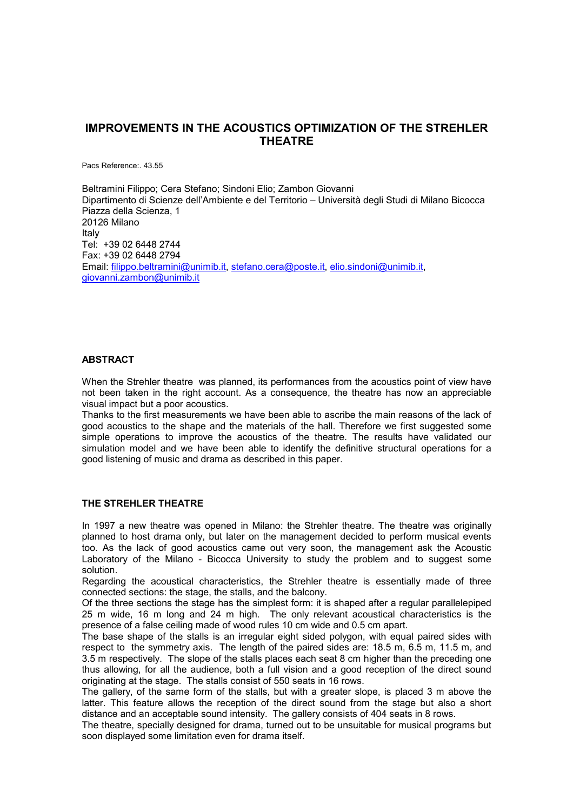# **IMPROVEMENTS IN THE ACOUSTICS OPTIMIZATION OF THE STREHLER THEATRE**

Pacs Reference:. 43.55

Beltramini Filippo; Cera Stefano; Sindoni Elio; Zambon Giovanni Dipartimento di Scienze dell'Ambiente e del Territorio – Università degli Studi di Milano Bicocca Piazza della Scienza, 1 20126 Milano Italy Tel: +39 02 6448 2744 Fax: +39 02 6448 2794 Email: [filippo.beltramini@unimib.it,](mailto:filippo.beltramini@unimib.it) [stefano.cera@poste.it](mailto:stefano.cera@poste.it), [elio.sindoni@unimib.it](mailto:elio.sindoni@unimib.it), [giovanni.zambon@unimib.it](mailto:giovanni.zambon@unimib.it)

#### **ABSTRACT**

When the Strehler theatre was planned, its performances from the acoustics point of view have not been taken in the right account. As a consequence, the theatre has now an appreciable visual impact but a poor acoustics.

Thanks to the first measurements we have been able to ascribe the main reasons of the lack of good acoustics to the shape and the materials of the hall. Therefore we first suggested some simple operations to improve the acoustics of the theatre. The results have validated our simulation model and we have been able to identify the definitive structural operations for a good listening of music and drama as described in this paper.

### **THE STREHLER THEATRE**

In 1997 a new theatre was opened in Milano: the Strehler theatre. The theatre was originally planned to host drama only, but later on the management decided to perform musical events too. As the lack of good acoustics came out very soon, the management ask the Acoustic Laboratory of the Milano - Bicocca University to study the problem and to suggest some solution.

Regarding the acoustical characteristics, the Strehler theatre is essentially made of three connected sections: the stage, the stalls, and the balcony.

Of the three sections the stage has the simplest form: it is shaped after a regular parallelepiped 25 m wide, 16 m long and 24 m high. The only relevant acoustical characteristics is the presence of a false ceiling made of wood rules 10 cm wide and 0.5 cm apart.

The base shape of the stalls is an irregular eight sided polygon, with equal paired sides with respect to the symmetry axis. The length of the paired sides are: 18.5 m, 6.5 m, 11.5 m, and 3.5 m respectively. The slope of the stalls places each seat 8 cm higher than the preceding one thus allowing, for all the audience, both a full vision and a good reception of the direct sound originating at the stage. The stalls consist of 550 seats in 16 rows.

The gallery, of the same form of the stalls, but with a greater slope, is placed 3 m above the latter. This feature allows the reception of the direct sound from the stage but also a short distance and an acceptable sound intensity. The gallery consists of 404 seats in 8 rows.

The theatre, specially designed for drama, turned out to be unsuitable for musical programs but soon displayed some limitation even for drama itself.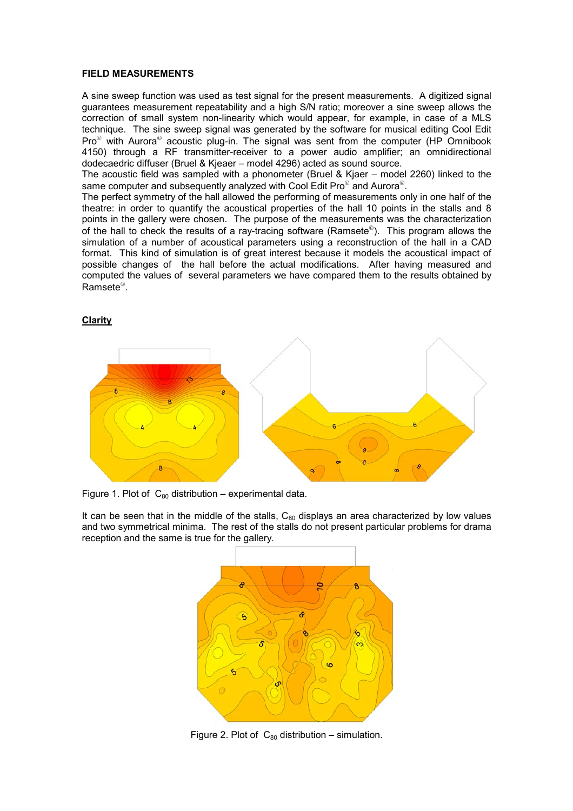#### **FIELD MEASUREMENTS**

A sine sweep function was used as test signal for the present measurements. A digitized signal guarantees measurement repeatability and a high S/N ratio; moreover a sine sweep allows the correction of small system non-linearity which would appear, for example, in case of a MLS technique. The sine sweep signal was generated by the software for musical editing Cool Edit  $Pro^{\circ}$  with Aurora<sup>®</sup> acoustic plug-in. The signal was sent from the computer (HP Omnibook 4150) through a RF transmitter-receiver to a power audio amplifier; an omnidirectional dodecaedric diffuser (Bruel & Kjeaer – model 4296) acted as sound source.

The acoustic field was sampled with a phonometer (Bruel & Kjaer – model 2260) linked to the same computer and subsequently analyzed with Cool Edit Pro $^\circ$  and Aurora $^\circ$ .

The perfect symmetry of the hall allowed the performing of measurements only in one half of the theatre: in order to quantify the acoustical properties of the hall 10 points in the stalls and 8 points in the gallery were chosen. The purpose of the measurements was the characterization of the hall to check the results of a ray-tracing software (Ramsete<sup>®</sup>). This program allows the simulation of a number of acoustical parameters using a reconstruction of the hall in a CAD format. This kind of simulation is of great interest because it models the acoustical impact of possible changes of the hall before the actual modifications. After having measured and computed the values of several parameters we have compared them to the results obtained by Ramsete<sup>©</sup>.

#### **Clarity**



Figure 1. Plot of  $C_{80}$  distribution – experimental data.

It can be seen that in the middle of the stalls,  $C_{80}$  displays an area characterized by low values and two symmetrical minima. The rest of the stalls do not present particular problems for drama reception and the same is true for the gallery.



Figure 2. Plot of  $C_{80}$  distribution – simulation.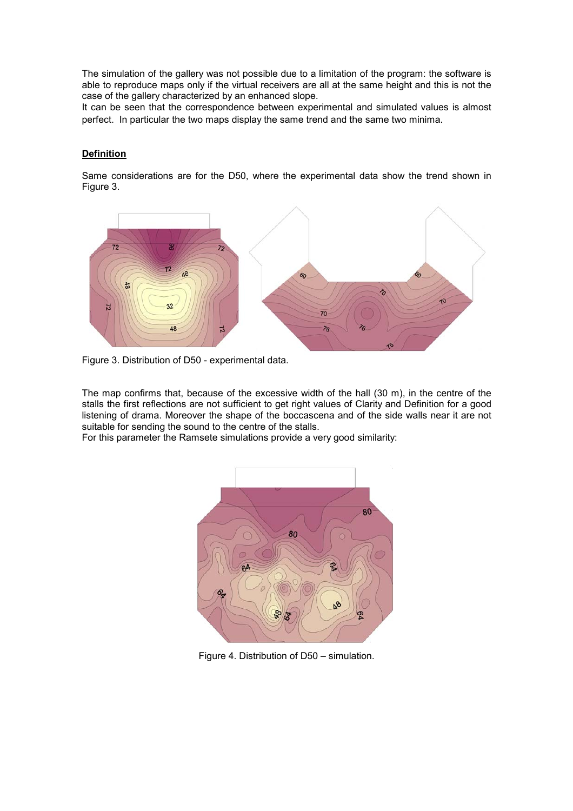The simulation of the gallery was not possible due to a limitation of the program: the software is able to reproduce maps only if the virtual receivers are all at the same height and this is not the case of the gallery characterized by an enhanced slope.

It can be seen that the correspondence between experimental and simulated values is almost perfect. In particular the two maps display the same trend and the same two minima.

### **Definition**

Same considerations are for the D50, where the experimental data show the trend shown in Figure 3.



Figure 3. Distribution of D50 - experimental data.

The map confirms that, because of the excessive width of the hall (30 m), in the centre of the stalls the first reflections are not sufficient to get right values of Clarity and Definition for a good listening of drama. Moreover the shape of the boccascena and of the side walls near it are not suitable for sending the sound to the centre of the stalls.

For this parameter the Ramsete simulations provide a very good similarity:



Figure 4. Distribution of D50 – simulation.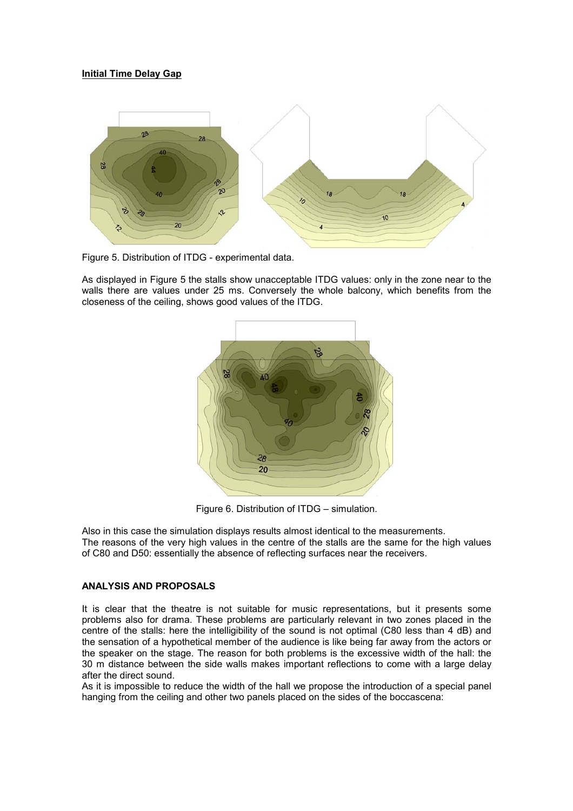## **Initial Time Delay Gap**



Figure 5. Distribution of ITDG - experimental data.

As displayed in Figure 5 the stalls show unacceptable ITDG values: only in the zone near to the walls there are values under 25 ms. Conversely the whole balcony, which benefits from the closeness of the ceiling, shows good values of the ITDG.



Figure 6. Distribution of ITDG – simulation.

Also in this case the simulation displays results almost identical to the measurements. The reasons of the very high values in the centre of the stalls are the same for the high values of C80 and D50: essentially the absence of reflecting surfaces near the receivers.

### **ANALYSIS AND PROPOSALS**

It is clear that the theatre is not suitable for music representations, but it presents some problems also for drama. These problems are particularly relevant in two zones placed in the centre of the stalls: here the intelligibility of the sound is not optimal (C80 less than 4 dB) and the sensation of a hypothetical member of the audience is like being far away from the actors or the speaker on the stage. The reason for both problems is the excessive width of the hall: the 30 m distance between the side walls makes important reflections to come with a large delay after the direct sound.

As it is impossible to reduce the width of the hall we propose the introduction of a special panel hanging from the ceiling and other two panels placed on the sides of the boccascena: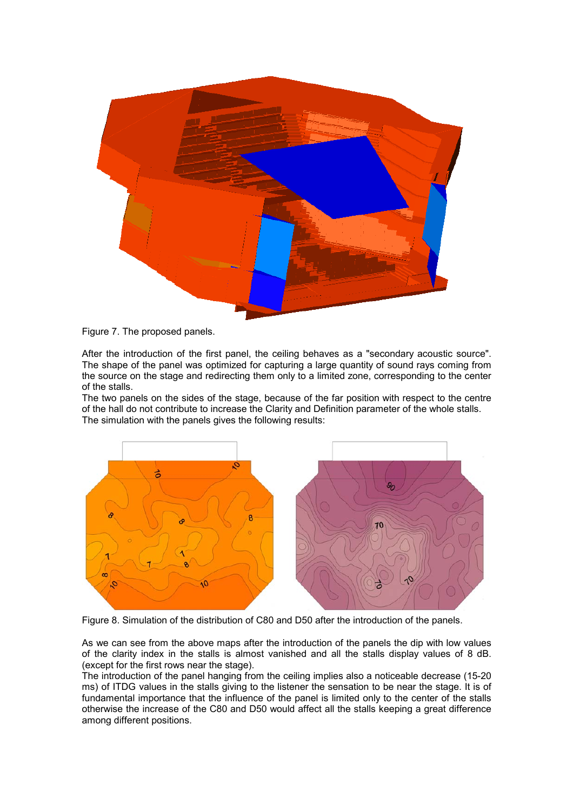

Figure 7. The proposed panels.

After the introduction of the first panel, the ceiling behaves as a "secondary acoustic source". The shape of the panel was optimized for capturing a large quantity of sound rays coming from the source on the stage and redirecting them only to a limited zone, corresponding to the center of the stalls.

The two panels on the sides of the stage, because of the far position with respect to the centre of the hall do not contribute to increase the Clarity and Definition parameter of the whole stalls. The simulation with the panels gives the following results:



Figure 8. Simulation of the distribution of C80 and D50 after the introduction of the panels.

As we can see from the above maps after the introduction of the panels the dip with low values of the clarity index in the stalls is almost vanished and all the stalls display values of 8 dB. (except for the first rows near the stage).

The introduction of the panel hanging from the ceiling implies also a noticeable decrease (15-20 ms) of ITDG values in the stalls giving to the listener the sensation to be near the stage. It is of fundamental importance that the influence of the panel is limited only to the center of the stalls otherwise the increase of the C80 and D50 would affect all the stalls keeping a great difference among different positions.